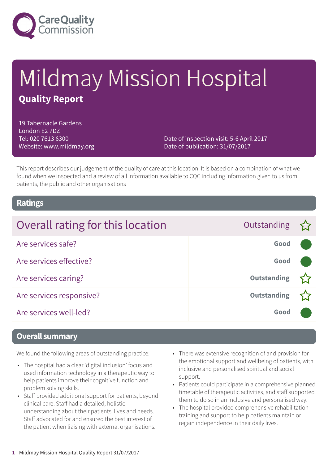

# Mildmay Mission Hospital **Quality Report**

19 Tabernacle Gardens London E2 7DZ Tel: 020 7613 6300 Website: www.mildmay.org

Date of inspection visit: 5-6 April 2017 Date of publication: 31/07/2017

This report describes our judgement of the quality of care at this location. It is based on a combination of what we found when we inspected and a review of all information available to CQC including information given to us from patients, the public and other organisations

### **Ratings**

| Overall rating for this location | Outstanding $\sum$ |  |
|----------------------------------|--------------------|--|
| Are services safe?               | Good               |  |
| Are services effective?          | Good               |  |
| Are services caring?             | <b>Outstanding</b> |  |
| Are services responsive?         | <b>Outstanding</b> |  |
| Are services well-led?           | Good               |  |

### **Overall summary**

We found the following areas of outstanding practice:

- The hospital had a clear 'digital inclusion' focus and used information technology in a therapeutic way to help patients improve their cognitive function and problem solving skills.
- Staff provided additional support for patients, beyond clinical care. Staff had a detailed, holistic understanding about their patients' lives and needs. Staff advocated for and ensured the best interest of the patient when liaising with external organisations.
- There was extensive recognition of and provision for the emotional support and wellbeing of patients, with inclusive and personalised spiritual and social support.
- Patients could participate in a comprehensive planned timetable of therapeutic activities, and staff supported them to do so in an inclusive and personalised way.
- The hospital provided comprehensive rehabilitation training and support to help patients maintain or regain independence in their daily lives.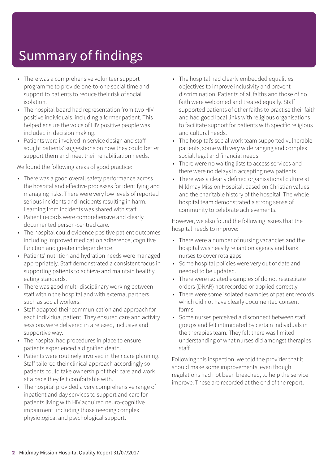# Summary of findings

- There was a comprehensive volunteer support programme to provide one-to-one social time and support to patients to reduce their risk of social isolation.
- The hospital board had representation from two HIV positive individuals, including a former patient. This helped ensure the voice of HIV positive people was included in decision making.
- Patients were involved in service design and staff sought patients' suggestions on how they could better support them and meet their rehabilitation needs.

We found the following areas of good practice:

- There was a good overall safety performance across the hospital and effective processes for identifying and managing risks. There were very low levels of reported serious incidents and incidents resulting in harm. Learning from incidents was shared with staff.
- Patient records were comprehensive and clearly documented person-centred care.
- The hospital could evidence positive patient outcomes including improved medication adherence, cognitive function and greater independence.
- Patients' nutrition and hydration needs were managed appropriately. Staff demonstrated a consistent focus in supporting patients to achieve and maintain healthy eating standards.
- There was good multi-disciplinary working between staff within the hospital and with external partners such as social workers.
- Staff adapted their communication and approach for each individual patient. They ensured care and activity sessions were delivered in a relaxed, inclusive and supportive way.
- The hospital had procedures in place to ensure patients experienced a dignified death.
- Patients were routinely involved in their care planning. Staff tailored their clinical approach accordingly so patients could take ownership of their care and work at a pace they felt comfortable with.
- The hospital provided a very comprehensive range of inpatient and day services to support and care for patients living with HIV acquired neuro-cognitive impairment, including those needing complex physiological and psychological support.
- The hospital had clearly embedded equalities objectives to improve inclusivity and prevent discrimination. Patients of all faiths and those of no faith were welcomed and treated equally. Staff supported patients of other faiths to practise their faith and had good local links with religious organisations to facilitate support for patients with specific religious and cultural needs.
- The hospital's social work team supported vulnerable patients, some with very wide ranging and complex social, legal and financial needs.
- There were no waiting lists to access services and there were no delays in accepting new patients.
- There was a clearly defined organisational culture at Mildmay Mission Hospital, based on Christian values and the charitable history of the hospital. The whole hospital team demonstrated a strong sense of community to celebrate achievements.

However, we also found the following issues that the hospital needs to improve:

- There were a number of nursing vacancies and the hospital was heavily reliant on agency and bank nurses to cover rota gaps.
- Some hospital policies were very out of date and needed to be updated.
- There were isolated examples of do not resuscitate orders (DNAR) not recorded or applied correctly.
- There were some isolated examples of patient records which did not have clearly documented consent forms.
- Some nurses perceived a disconnect between staff groups and felt intimidated by certain individuals in the therapies team. They felt there was limited understanding of what nurses did amongst therapies staff.

Following this inspection, we told the provider that it should make some improvements, even though regulations had not been breached, to help the service improve. These are recorded at the end of the report.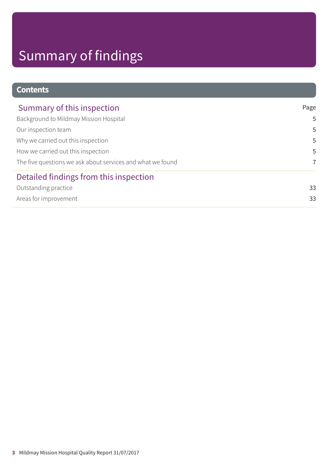# Summary of findings

### **Contents**

| Summary of this inspection                                 | Page |
|------------------------------------------------------------|------|
| Background to Mildmay Mission Hospital                     | 5    |
| Our inspection team                                        | 5    |
| Why we carried out this inspection                         | 5    |
| How we carried out this inspection                         | 5    |
| The five questions we ask about services and what we found | 7    |
| Detailed findings from this inspection                     |      |
| Outstanding practice                                       | 33   |
| Areas for improvement                                      | 33   |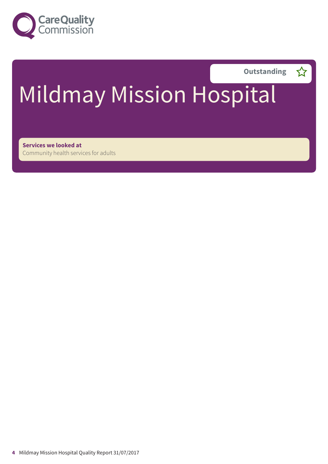



# Mildmay Mission Hospital

**Services we looked at** Community health services for adults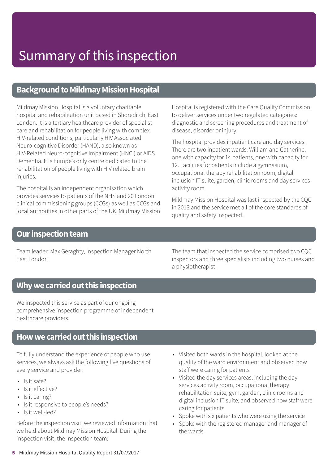### **Background to Mildmay Mission Hospital**

Mildmay Mission Hospital is a voluntary charitable hospital and rehabilitation unit based in Shoreditch, East London. It is a tertiary healthcare provider of specialist care and rehabilitation for people living with complex HIV-related conditions, particularly HIV Associated Neuro-cognitive Disorder (HAND), also known as HIV-Related Neuro-cognitive Impairment (HNCI) or AIDS Dementia. It is Europe's only centre dedicated to the rehabilitation of people living with HIV related brain injuries.

The hospital is an independent organisation which provides services to patients of the NHS and 20 London clinical commissioning groups (CCGs) as well as CCGs and local authorities in other parts of the UK. Mildmay Mission

Hospital is registered with the Care Quality Commission to deliver services under two regulated categories: diagnostic and screening procedures and treatment of disease, disorder or injury.

The hospital provides inpatient care and day services. There are two inpatient wards: William and Catherine, one with capacity for 14 patients, one with capacity for 12. Facilities for patients include a gymnasium, occupational therapy rehabilitation room, digital inclusion IT suite, garden, clinic rooms and day services activity room.

Mildmay Mission Hospital was last inspected by the CQC in 2013 and the service met all of the core standards of quality and safety inspected.

### **Our inspection team**

Team leader: Max Geraghty, Inspection Manager North East London

The team that inspected the service comprised two CQC inspectors and three specialists including two nurses and a physiotherapist.

### **Whywecarriedoutthis inspection**

We inspected this service as part of our ongoing comprehensive inspection programme of independent healthcare providers.

### **Howwecarriedoutthis inspection**

To fully understand the experience of people who use services, we always ask the following five questions of every service and provider:

- $\cdot$  Is it safe?
- Is it effective?
- Is it caring?
- Is it responsive to people's needs?
- Is it well-led?

Before the inspection visit, we reviewed information that we held about Mildmay Mission Hospital. During the inspection visit, the inspection team:

- Visited both wards in the hospital, looked at the quality of the ward environment and observed how staff were caring for patients
- Visited the day services areas, including the day services activity room, occupational therapy rehabilitation suite, gym, garden, clinic rooms and digital inclusion IT suite; and observed how staff were caring for patients
- Spoke with six patients who were using the service
- Spoke with the registered manager and manager of the wards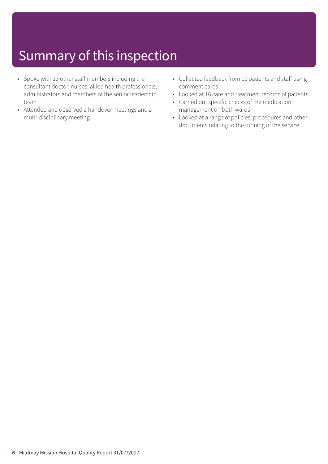- Spoke with 13 other staff members including the consultant doctor, nurses, allied health professionals, administrators and members of the senior leadership team
- Attended and observed a handover meetings and a multi-disciplinary meeting
- Collected feedback from 10 patients and staff using comment cards
- Looked at 16 care and treatment records of patients
- Carried out specific checks of the medication management on both wards
- Looked at a range of policies, procedures and other documents relating to the running of the service.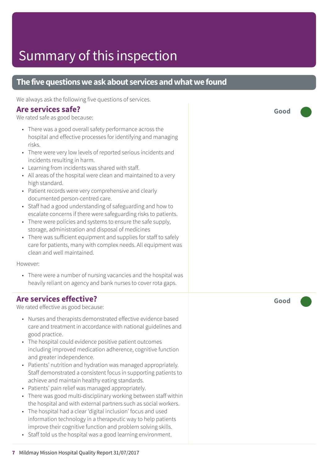### **The five questions we ask about services and what we found**

We always ask the following five questions of services.

### **Are services safe?**

We rated safe as good because:

- There was a good overall safety performance across the hospital and effective processes for identifying and managing risks.
- There were very low levels of reported serious incidents and incidents resulting in harm.
- Learning from incidents was shared with staff.
- All areas of the hospital were clean and maintained to a very high standard.
- Patient records were very comprehensive and clearly documented person-centred care.
- Staff had a good understanding of safeguarding and how to escalate concerns if there were safeguarding risks to patients.
- There were policies and systems to ensure the safe supply, storage, administration and disposal of medicines
- There was sufficient equipment and supplies for staff to safely care for patients, many with complex needs. All equipment was clean and well maintained.

However:

• There were a number of nursing vacancies and the hospital was heavily reliant on agency and bank nurses to cover rota gaps.

### **Are services effective?**

We rated effective as good because:

- Nurses and therapists demonstrated effective evidence based care and treatment in accordance with national guidelines and good practice.
- The hospital could evidence positive patient outcomes including improved medication adherence, cognitive function and greater independence.
- Patients' nutrition and hydration was managed appropriately. Staff demonstrated a consistent focus in supporting patients to achieve and maintain healthy eating standards.
- Patients' pain relief was managed appropriately.
- There was good multi-disciplinary working between staff within the hospital and with external partners such as social workers.
- The hospital had a clear 'digital inclusion' focus and used information technology in a therapeutic way to help patients improve their cognitive function and problem solving skills.
- Staff told us the hospital was a good learning environment.

**Good –––**

**Good –––**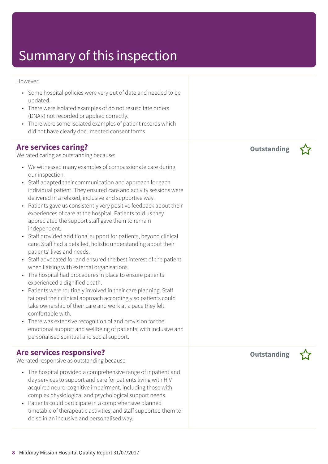#### However:

- Some hospital policies were very out of date and needed to be updated.
- There were isolated examples of do not resuscitate orders (DNAR) not recorded or applied correctly.
- There were some isolated examples of patient records which did not have clearly documented consent forms.

### **Are services caring?**

We rated caring as outstanding because:

- We witnessed many examples of compassionate care during our inspection.
- Staff adapted their communication and approach for each individual patient. They ensured care and activity sessions were delivered in a relaxed, inclusive and supportive way.
- Patients gave us consistently very positive feedback about their experiences of care at the hospital. Patients told us they appreciated the support staff gave them to remain independent.
- Staff provided additional support for patients, beyond clinical care. Staff had a detailed, holistic understanding about their patients' lives and needs.
- Staff advocated for and ensured the best interest of the patient when liaising with external organisations.
- The hospital had procedures in place to ensure patients experienced a dignified death.
- Patients were routinely involved in their care planning. Staff tailored their clinical approach accordingly so patients could take ownership of their care and work at a pace they felt comfortable with.
- There was extensive recognition of and provision for the emotional support and wellbeing of patients, with inclusive and personalised spiritual and social support.

### **Are services responsive?**

We rated responsive as outstanding because:

- The hospital provided a comprehensive range of inpatient and day services to support and care for patients living with HIV acquired neuro-cognitive impairment, including those with complex physiological and psychological support needs.
- Patients could participate in a comprehensive planned timetable of therapeutic activities, and staff supported them to do so in an inclusive and personalised way.

**Outstanding –**

**Outstanding –**

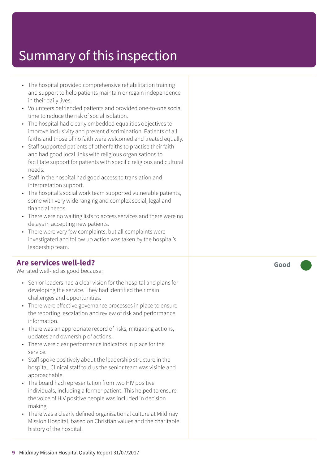- The hospital provided comprehensive rehabilitation training and support to help patients maintain or regain independence in their daily lives.
- Volunteers befriended patients and provided one-to-one social time to reduce the risk of social isolation.
- The hospital had clearly embedded equalities objectives to improve inclusivity and prevent discrimination. Patients of all faiths and those of no faith were welcomed and treated equally.
- Staff supported patients of other faiths to practise their faith and had good local links with religious organisations to facilitate support for patients with specific religious and cultural needs.
- Staff in the hospital had good access to translation and interpretation support.
- The hospital's social work team supported vulnerable patients, some with very wide ranging and complex social, legal and financial needs.
- There were no waiting lists to access services and there were no delays in accepting new patients.
- There were very few complaints, but all complaints were investigated and follow up action was taken by the hospital's leadership team.

### **Are services well-led?**

We rated well-led as good because:

- Senior leaders had a clear vision for the hospital and plans for developing the service. They had identified their main challenges and opportunities.
- There were effective governance processes in place to ensure the reporting, escalation and review of risk and performance information.
- There was an appropriate record of risks, mitigating actions, updates and ownership of actions.
- There were clear performance indicators in place for the service.
- Staff spoke positively about the leadership structure in the hospital. Clinical staff told us the senior team was visible and approachable.
- The board had representation from two HIV positive individuals, including a former patient. This helped to ensure the voice of HIV positive people was included in decision making.
- There was a clearly defined organisational culture at Mildmay Mission Hospital, based on Christian values and the charitable history of the hospital.

**Good –––**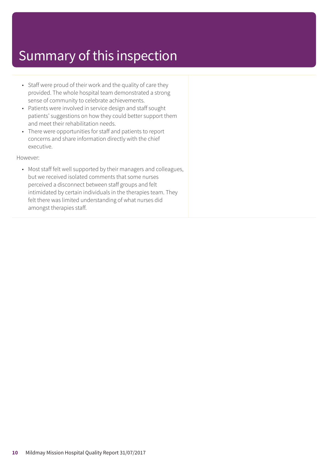- Staff were proud of their work and the quality of care they provided. The whole hospital team demonstrated a strong sense of community to celebrate achievements.
- Patients were involved in service design and staff sought patients' suggestions on how they could better support them and meet their rehabilitation needs.
- There were opportunities for staff and patients to report concerns and share information directly with the chief executive.

However:

• Most staff felt well supported by their managers and colleagues, but we received isolated comments that some nurses perceived a disconnect between staff groups and felt intimidated by certain individuals in the therapies team. They felt there was limited understanding of what nurses did amongst therapies staff.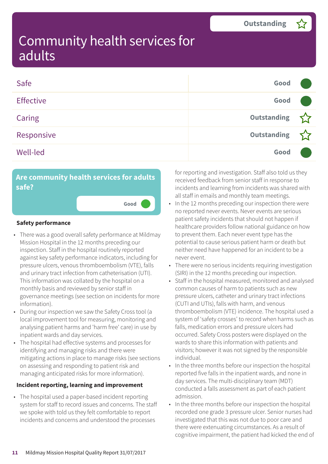| Safe             | Good               |  |
|------------------|--------------------|--|
| <b>Effective</b> | Good               |  |
| Caring           | Outstanding        |  |
| Responsive       | <b>Outstanding</b> |  |
| <b>Well-led</b>  | Good               |  |

### **Are community health services for adults safe?**

**Good –––**

#### **Safety performance**

- There was a good overall safety performance at Mildmay Mission Hospital in the 12 months preceding our inspection. Staff in the hospital routinely reported against key safety performance indicators, including for pressure ulcers, venous thromboembolism (VTE), falls and urinary tract infection from catheterisation (UTI). This information was collated by the hospital on a monthly basis and reviewed by senior staff in governance meetings (see section on incidents for more information).
- During our inspection we saw the Safety Cross tool (a local improvement tool for measuring, monitoring and analysing patient harms and 'harm free' care) in use by inpatient wards and day services.
- The hospital had effective systems and processes for identifying and managing risks and there were mitigating actions in place to manage risks (see sections on assessing and responding to patient risk and managing anticipated risks for more information).

#### **Incident reporting, learning and improvement**

• The hospital used a paper-based incident reporting system for staff to record issues and concerns. The staff we spoke with told us they felt comfortable to report incidents and concerns and understood the processes

for reporting and investigation. Staff also told us they received feedback from senior staff in response to incidents and learning from incidents was shared with all staff in emails and monthly team meetings.

- In the 12 months preceding our inspection there were no reported never events. Never events are serious patient safety incidents that should not happen if healthcare providers follow national guidance on how to prevent them. Each never event type has the potential to cause serious patient harm or death but neither need have happened for an incident to be a never event.
- There were no serious incidents requiring investigation (SIRI) in the 12 months preceding our inspection.
- Staff in the hospital measured, monitored and analysed common causes of harm to patients such as new pressure ulcers, catheter and urinary tract infections (CUTI and UTIs), falls with harm, and venous thromboembolism (VTE) incidence. The hospital used a system of 'safety crosses' to record when harms such as falls, medication errors and pressure ulcers had occurred. Safety Cross posters were displayed on the wards to share this information with patients and visitors; however it was not signed by the responsible individual.
- In the three months before our inspection the hospital reported five falls in the inpatient wards, and none in day services. The multi-disciplinary team (MDT) conducted a falls assessment as part of each patient admission.
- In the three months before our inspection the hospital recorded one grade 3 pressure ulcer. Senior nurses had investigated that this was not due to poor care and there were extenuating circumstances. As a result of cognitive impairment, the patient had kicked the end of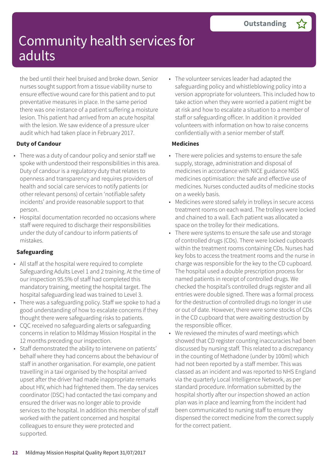the bed until their heel bruised and broke down. Senior nurses sought support from a tissue viability nurse to ensure effective wound care for this patient and to put preventative measures in place. In the same period there was one instance of a patient suffering a moisture lesion. This patient had arrived from an acute hospital with the lesion. We saw evidence of a pressure ulcer audit which had taken place in February 2017.

#### **Duty of Candour**

- There was a duty of candour policy and senior staff we spoke with understood their responsibilities in this area. Duty of candour is a regulatory duty that relates to openness and transparency and requires providers of health and social care services to notify patients (or other relevant persons) of certain 'notifiable safety incidents' and provide reasonable support to that person.
- Hospital documentation recorded no occasions where staff were required to discharge their responsibilities under the duty of candour to inform patients of mistakes.

### **Safeguarding**

- All staff at the hospital were required to complete Safeguarding Adults Level 1 and 2 training. At the time of our inspection 95.5% of staff had completed this mandatory training, meeting the hospital target. The hospital safeguarding lead was trained to Level 3.
- There was a safeguarding policy. Staff we spoke to had a good understanding of how to escalate concerns if they thought there were safeguarding risks to patients.
- CQC received no safeguarding alerts or safeguarding concerns in relation to Mildmay Mission Hospital in the 12 months preceding our inspection.
- Staff demonstrated the ability to intervene on patients' behalf where they had concerns about the behaviour of staff in another organisation. For example, one patient travelling in a taxi organised by the hospital arrived upset after the driver had made inappropriate remarks about HIV, which had frightened them. The day services coordinator (DSC) had contacted the taxi company and ensured the driver was no longer able to provide services to the hospital. In addition this member of staff worked with the patient concerned and hospital colleagues to ensure they were protected and supported.

• The volunteer services leader had adapted the safeguarding policy and whistleblowing policy into a version appropriate for volunteers. This included how to take action when they were worried a patient might be at risk and how to escalate a situation to a member of staff or safeguarding officer. In addition it provided volunteers with information on how to raise concerns confidentially with a senior member of staff.

#### **Medicines**

- There were policies and systems to ensure the safe supply, storage, administration and disposal of medicines in accordance with NICE guidance NG5 medicines optimisation: the safe and effective use of medicines. Nurses conducted audits of medicine stocks on a weekly basis.
- Medicines were stored safely in trolleys in secure access treatment rooms on each ward. The trolleys were locked and chained to a wall. Each patient was allocated a space on the trolley for their medications.
- There were systems to ensure the safe use and storage of controlled drugs (CDs). There were locked cupboards within the treatment rooms containing CDs. Nurses had key fobs to access the treatment rooms and the nurse in charge was responsible for the key to the CD cupboard. The hospital used a double prescription process for named patients in receipt of controlled drugs. We checked the hospital's controlled drugs register and all entries were double signed. There was a formal process for the destruction of controlled drugs no longer in use or out of date. However, there were some stocks of CDs in the CD cupboard that were awaiting destruction by the responsible officer.
- We reviewed the minutes of ward meetings which showed that CD register counting inaccuracies had been discussed by nursing staff. This related to a discrepancy in the counting of Methadone (under by 100ml) which had not been reported by a staff member. This was classed as an incident and was reported to NHS England via the quarterly Local Intelligence Network, as per standard procedure. Information submitted by the hospital shortly after our inspection showed an action plan was in place and learning from the incident had been communicated to nursing staff to ensure they dispensed the correct medicine from the correct supply for the correct patient.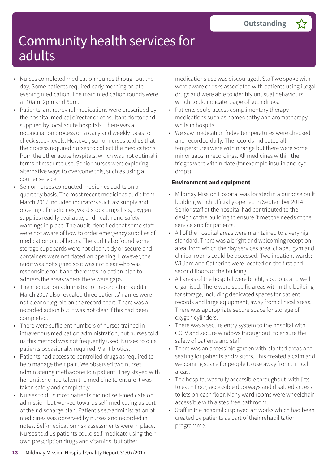- Nurses completed medication rounds throughout the day. Some patients required early morning or late evening medication. The main medication rounds were at 10am, 2pm and 6pm.
- Patients' antiretroviral medications were prescribed by the hospital medical director or consultant doctor and supplied by local acute hospitals. There was a reconciliation process on a daily and weekly basis to check stock levels. However, senior nurses told us that the process required nurses to collect the medications from the other acute hospitals, which was not optimal in terms of resource use. Senior nurses were exploring alternative ways to overcome this, such as using a courier service.
- Senior nurses conducted medicines audits on a quarterly basis. The most recent medicines audit from March 2017 included indicators such as: supply and ordering of medicines, ward stock drugs lists, oxygen supplies readily available, and health and safety warnings in place. The audit identified that some staff were not aware of how to order emergency supplies of medication out of hours. The audit also found some storage cupboards were not clean, tidy or secure and containers were not dated on opening. However, the audit was not signed so it was not clear who was responsible for it and there was no action plan to address the areas where there were gaps.
- The medication administration record chart audit in March 2017 also revealed three patients' names were not clear or legible on the record chart. There was a recorded action but it was not clear if this had been completed.
- There were sufficient numbers of nurses trained in intravenous medication administration, but nurses told us this method was not frequently used. Nurses told us patients occasionally required IV antibiotics.
- Patients had access to controlled drugs as required to help manage their pain. We observed two nurses administering methadone to a patient. They stayed with her until she had taken the medicine to ensure it was taken safely and completely.
- Nurses told us most patients did not self-medicate on admission but worked towards self-medicating as part of their discharge plan. Patient's self-administration of medicines was observed by nurses and recorded in notes. Self-medication risk assessments were in place. Nurses told us patients could self-medicate using their own prescription drugs and vitamins, but other

medications use was discouraged. Staff we spoke with were aware of risks associated with patients using illegal drugs and were able to identify unusual behaviours which could indicate usage of such drugs.

- Patients could access complimentary therapy medications such as homeopathy and aromatherapy while in hospital.
- We saw medication fridge temperatures were checked and recorded daily. The records indicated all temperatures were within range but there were some minor gaps in recordings. All medicines within the fridges were within date (for example insulin and eye drops).

#### **Environment and equipment**

- Mildmay Mission Hospital was located in a purpose built building which officially opened in September 2014. Senior staff at the hospital had contributed to the design of the building to ensure it met the needs of the service and for patients.
- All of the hospital areas were maintained to a very high standard. There was a bright and welcoming reception area, from which the day services area, chapel, gym and clinical rooms could be accessed. Two inpatient wards: William and Catherine were located on the first and second floors of the building.
- All areas of the hospital were bright, spacious and well organised. There were specific areas within the building for storage, including dedicated spaces for patient records and large equipment, away from clinical areas. There was appropriate secure space for storage of oxygen cylinders.
- There was a secure entry system to the hospital with CCTV and secure windows throughout, to ensure the safety of patients and staff.
- There was an accessible garden with planted areas and seating for patients and visitors. This created a calm and welcoming space for people to use away from clinical areas.
- The hospital was fully accessible throughout, with lifts to each floor, accessible doorways and disabled access toilets on each floor. Many ward rooms were wheelchair accessible with a step free bathroom.
- Staff in the hospital displayed art works which had been created by patients as part of their rehabilitation programme.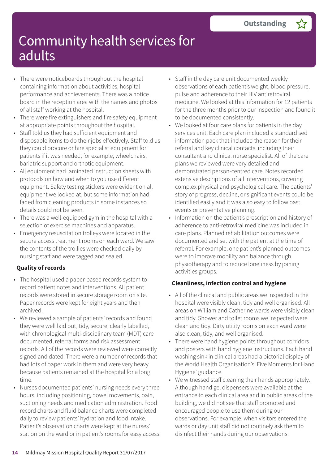- There were noticeboards throughout the hospital containing information about activities, hospital performance and achievements. There was a notice board in the reception area with the names and photos of all staff working at the hospital.
- There were fire extinguishers and fire safety equipment at appropriate points throughout the hospital.
- Staff told us they had sufficient equipment and disposable items to do their jobs effectively. Staff told us they could procure or hire specialist equipment for patients if it was needed, for example, wheelchairs, bariatric support and orthotic equipment.
- All equipment had laminated instruction sheets with protocols on how and when to you use different equipment. Safety testing stickers were evident on all equipment we looked at, but some information had faded from cleaning products in some instances so details could not be seen.
- There was a well-equipped gym in the hospital with a selection of exercise machines and apparatus.
- Emergency resuscitation trolleys were located in the secure access treatment rooms on each ward. We saw the contents of the trollies were checked daily by nursing staff and were tagged and sealed.

### **Quality of records**

- The hospital used a paper-based records system to record patient notes and interventions. All patient records were stored in secure storage room on site. Paper records were kept for eight years and then archived.
- We reviewed a sample of patients' records and found they were well laid out, tidy, secure, clearly labelled, with chronological multi-disciplinary team (MDT) care documented, referral forms and risk assessment records. All of the records were reviewed were correctly signed and dated. There were a number of records that had lots of paper work in them and were very heavy because patients remained at the hospital for a long time.
- Nurses documented patients' nursing needs every three hours, including positioning, bowel movements, pain, suctioning needs and medication administration. Food record charts and fluid balance charts were completed daily to review patients' hydration and food intake. Patient's observation charts were kept at the nurses' station on the ward or in patient's rooms for easy access.
- Staff in the day care unit documented weekly observations of each patient's weight, blood pressure, pulse and adherence to their HIV antiretroviral medicine. We looked at this information for 12 patients for the three months prior to our inspection and found it to be documented consistently.
- We looked at four care plans for patients in the day services unit. Each care plan included a standardised information pack that included the reason for their referral and key clinical contacts, including their consultant and clinical nurse specialist. All of the care plans we reviewed were very detailed and demonstrated person-centred care. Notes recorded extensive descriptions of all interventions, covering complex physical and psychological care. The patients' story of progress, decline, or significant events could be identified easily and it was also easy to follow past events or preventative planning.
- Information on the patient's prescription and history of adherence to anti-retroviral medicine was included in care plans. Planned rehabilitation outcomes were documented and set with the patient at the time of referral. For example, one patient's planned outcomes were to improve mobility and balance through physiotherapy and to reduce loneliness by joining activities groups.

### **Cleanliness, infection control and hygiene**

- All of the clinical and public areas we inspected in the hospital were visibly clean, tidy and well organised. All areas on William and Catherine wards were visibly clean and tidy. Shower and toilet rooms we inspected were clean and tidy. Dirty utility rooms on each ward were also clean, tidy, and well organised.
- There were hand hygiene points throughout corridors and posters with hand hygiene instructions. Each hand washing sink in clinical areas had a pictorial display of the World Health Organisation's 'Five Moments for Hand Hygiene' guidance.
- We witnessed staff cleaning their hands appropriately. Although hand gel dispensers were available at the entrance to each clinical area and in public areas of the building, we did not see that staff promoted and encouraged people to use them during our observations. For example, when visitors entered the wards or day unit staff did not routinely ask them to disinfect their hands during our observations.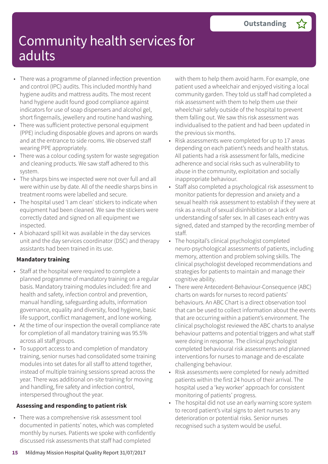- There was a programme of planned infection prevention and control (IPC) audits. This included monthly hand hygiene audits and mattress audits. The most recent hand hygiene audit found good compliance against indicators for use of soap dispensers and alcohol gel, short fingernails, jewellery and routine hand washing.
- There was sufficient protective personal equipment (PPE) including disposable gloves and aprons on wards and at the entrance to side rooms. We observed staff wearing PPE appropriately.
- There was a colour coding system for waste segregation and cleaning products. We saw staff adhered to this system.
- The sharps bins we inspected were not over full and all were within use by date. All of the needle sharps bins in treatment rooms were labelled and secure.
- The hospital used 'I am clean' stickers to indicate when equipment had been cleaned. We saw the stickers were correctly dated and signed on all equipment we inspected.
- A biohazard spill kit was available in the day services unit and the day services coordinator (DSC) and therapy assistants had been trained in its use.

### **Mandatory training**

- Staff at the hospital were required to complete a planned programme of mandatory training on a regular basis. Mandatory training modules included: fire and health and safety, infection control and prevention, manual handling, safeguarding adults, information governance, equality and diversity, food hygiene, basic life support, conflict management, and lone working.
- At the time of our inspection the overall compliance rate for completion of all mandatory training was 95.5% across all staff groups.
- To support access to and completion of mandatory training, senior nurses had consolidated some training modules into set dates for all staff to attend together, instead of multiple training sessions spread across the year. There was additional on-site training for moving and handling, fire safety and infection control, interspersed throughout the year.

### **Assessing and responding to patient risk**

• There was a comprehensive risk assessment tool documented in patients' notes, which was completed monthly by nurses. Patients we spoke with confidently discussed risk assessments that staff had completed

with them to help them avoid harm. For example, one patient used a wheelchair and enjoyed visiting a local community garden. They told us staff had completed a risk assessment with them to help them use their wheelchair safely outside of the hospital to prevent them falling out. We saw this risk assessment was individualised to the patient and had been updated in the previous six months.

- Risk assessments were completed for up to 17 areas depending on each patient's needs and health status. All patients had a risk assessment for falls, medicine adherence and social risks such as vulnerability to abuse in the community, exploitation and socially inappropriate behaviour.
- Staff also completed a psychological risk assessment to monitor patients for depression and anxiety and a sexual health risk assessment to establish if they were at risk as a result of sexual disinhibition or a lack of understanding of safer sex. In all cases each entry was signed, dated and stamped by the recording member of staff.
- The hospital's clinical psychologist completed neuro-psychological assessments of patients, including memory, attention and problem solving skills. The clinical psychologist developed recommendations and strategies for patients to maintain and manage their cognitive ability.
- There were Antecedent-Behaviour-Consequence (ABC) charts on wards for nurses to record patients' behaviours. An ABC Chart is a direct observation tool that can be used to collect information about the events that are occurring within a patient's environment. The clinical psychologist reviewed the ABC charts to analyse behaviour patterns and potential triggers and what staff were doing in response. The clinical psychologist completed behavioural risk assessments and planned interventions for nurses to manage and de-escalate challenging behaviour.
- Risk assessments were completed for newly admitted patients within the first 24 hours of their arrival. The hospital used a 'key worker' approach for consistent monitoring of patients' progress.
- The hospital did not use an early warning score system to record patient's vital signs to alert nurses to any deterioration or potential risks. Senior nurses recognised such a system would be useful.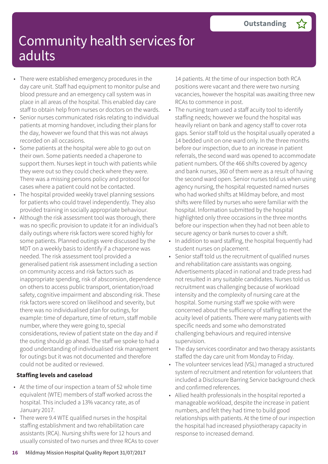- There were established emergency procedures in the day care unit. Staff had equipment to monitor pulse and blood pressure and an emergency call system was in place in all areas of the hospital. This enabled day care staff to obtain help from nurses or doctors on the wards.
- Senior nurses communicated risks relating to individual patients at morning handover, including their plans for the day, however we found that this was not always recorded on all occasions.
- Some patients at the hospital were able to go out on their own. Some patients needed a chaperone to support them. Nurses kept in touch with patients while they were out so they could check where they were. There was a missing persons policy and protocol for cases where a patient could not be contacted.
- The hospital provided weekly travel planning sessions for patients who could travel independently. They also provided training in socially appropriate behaviour.
- Although the risk assessment tool was thorough, there was no specific provision to update it for an individual's daily outings where risk factors were scored highly for some patients. Planned outings were discussed by the MDT on a weekly basis to identify if a chaperone was needed. The risk assessment tool provided a generalised patient risk assessment including a section on community access and risk factors such as inappropriate spending, risk of absconsion, dependence on others to access public transport, orientation/road safety, cognitive impairment and absconding risk. These risk factors were scored on likelihood and severity, but there was no individualised plan for outings, for example: time of departure, time of return, staff mobile number, where they were going to, special considerations, review of patient state on the day and if the outing should go ahead. The staff we spoke to had a good understanding of individualised risk management for outings but it was not documented and therefore could not be audited or reviewed.

### **Staffing levels and caseload**

- At the time of our inspection a team of 52 whole time equivalent (WTE) members of staff worked across the hospital. This included a 13% vacancy rate, as of January 2017.
- There were 9.4 WTE qualified nurses in the hospital staffing establishment and two rehabilitation care assistants (RCA). Nursing shifts were for 12 hours and usually consisted of two nurses and three RCAs to cover

14 patients. At the time of our inspection both RCA positions were vacant and there were two nursing vacancies, however the hospital was awaiting three new RCAs to commence in post.

- The nursing team used a staff acuity tool to identify staffing needs; however we found the hospital was heavily reliant on bank and agency staff to cover rota gaps. Senior staff told us the hospital usually operated a 14 bedded unit on one ward only. In the three months before our inspection, due to an increase in patient referrals, the second ward was opened to accommodate patient numbers. Of the 466 shifts covered by agency and bank nurses, 360 of them were as a result of having the second ward open. Senior nurses told us when using agency nursing, the hospital requested named nurses who had worked shifts at Mildmay before, and most shifts were filled by nurses who were familiar with the hospital. Information submitted by the hospital highlighted only three occasions in the three months before our inspection when they had not been able to secure agency or bank nurses to cover a shift.
- In addition to ward staffing, the hospital frequently had student nurses on placement.
- Senior staff told us the recruitment of qualified nurses and rehabilitation care assistants was ongoing. Advertisements placed in national and trade press had not resulted in any suitable candidates. Nurses told us recruitment was challenging because of workload intensity and the complexity of nursing care at the hospital. Some nursing staff we spoke with were concerned about the sufficiency of staffing to meet the acuity level of patients. There were many patients with specific needs and some who demonstrated challenging behaviours and required intensive supervision.
- The day services coordinator and two therapy assistants staffed the day care unit from Monday to Friday.
- The volunteer services lead (VSL) managed a structured system of recruitment and retention for volunteers that included a Disclosure Barring Service background check and confirmed references.
- Allied health professionals in the hospital reported a manageable workload, despite the increase in patient numbers, and felt they had time to build good relationships with patients. At the time of our inspection the hospital had increased physiotherapy capacity in response to increased demand.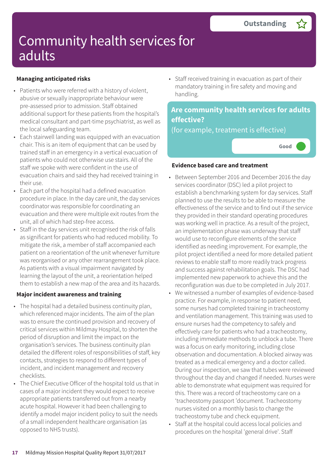### **Managing anticipated risks**

- Patients who were referred with a history of violent, abusive or sexually inappropriate behaviour were pre-assessed prior to admission. Staff obtained additional support for these patients from the hospital's medical consultant and part-time psychiatrist, as well as the local safeguarding team.
- Each stairwell landing was equipped with an evacuation chair. This is an item of equipment that can be used by trained staff in an emergency in a vertical evacuation of patients who could not otherwise use stairs. All of the staff we spoke with were confident in the use of evacuation chairs and said they had received training in their use.
- Each part of the hospital had a defined evacuation procedure in place. In the day care unit, the day services coordinator was responsible for coordinating an evacuation and there were multiple exit routes from the unit, all of which had step-free access.
- Staff in the day services unit recognised the risk of falls as significant for patients who had reduced mobility. To mitigate the risk, a member of staff accompanied each patient on a reorientation of the unit whenever furniture was reorganised or any other rearrangement took place. As patients with a visual impairment navigated by learning the layout of the unit, a reorientation helped them to establish a new map of the area and its hazards.

### **Major incident awareness and training**

- The hospital had a detailed business continuity plan, which referenced major incidents. The aim of the plan was to ensure the continued provision and recovery of critical services within Mildmay Hospital, to shorten the period of disruption and limit the impact on the organisation's services. The business continuity plan detailed the different roles of responsibilities of staff, key contacts, strategies to respond to different types of incident, and incident management and recovery checklists.
- The Chief Executive Officer of the hospital told us that in cases of a major incident they would expect to receive appropriate patients transferred out from a nearby acute hospital. However it had been challenging to identify a model major incident policy to suit the needs of a small independent healthcare organisation (as opposed to NHS trusts).

• Staff received training in evacuation as part of their mandatory training in fire safety and moving and handling.

### **Are community health services for adults effective?**

(for example, treatment is effective)



#### **Evidence based care and treatment**

- Between September 2016 and December 2016 the day services coordinator (DSC) led a pilot project to establish a benchmarking system for day services. Staff planned to use the results to be able to measure the effectiveness of the service and to find out if the service they provided in their standard operating procedures was working well in practice. As a result of the project, an implementation phase was underway that staff would use to reconfigure elements of the service identified as needing improvement. For example, the pilot project identified a need for more detailed patient reviews to enable staff to more readily track progress and success against rehabilitation goals. The DSC had implemented new paperwork to achieve this and the reconfiguration was due to be completed in July 2017.
- We witnessed a number of examples of evidence-based practice. For example, in response to patient need, some nurses had completed training in tracheostomy and ventilation management. This training was used to ensure nurses had the competency to safely and effectively care for patients who had a tracheostomy, including immediate methods to unblock a tube. There was a focus on early monitoring, including close observation and documentation. A blocked airway was treated as a medical emergency and a doctor called. During our inspection, we saw that tubes were reviewed throughout the day and changed if needed. Nurses were able to demonstrate what equipment was required for this. There was a record of tracheostomy care on a 'tracheostomy passport 'document. Tracheostomy nurses visited on a monthly basis to change the tracheostomy tube and check equipment.
- Staff at the hospital could access local policies and procedures on the hospital 'general drive'. Staff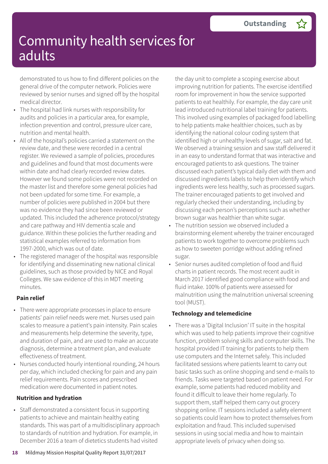demonstrated to us how to find different policies on the general drive of the computer network. Policies were reviewed by senior nurses and signed off by the hospital medical director.

- The hospital had link nurses with responsibility for audits and policies in a particular area, for example, infection prevention and control, pressure ulcer care, nutrition and mental health.
- All of the hospital's policies carried a statement on the review date, and these were recorded in a central register. We reviewed a sample of policies, procedures and guidelines and found that most documents were within date and had clearly recorded review dates. However we found some policies were not recorded on the master list and therefore some general policies had not been updated for some time. For example, a number of policies were published in 2004 but there was no evidence they had since been reviewed or updated. This included the adherence protocol/strategy and care pathway and HIV dementia scale and guidance. Within these policies the further reading and statistical examples referred to information from 1997-2000, which was out of date.
- The registered manager of the hospital was responsible for identifying and disseminating new national clinical guidelines, such as those provided by NICE and Royal Colleges. We saw evidence of this in MDT meeting minutes.

#### **Pain relief**

- There were appropriate processes in place to ensure patients' pain relief needs were met. Nurses used pain scales to measure a patient's pain intensity. Pain scales and measurements help determine the severity, type, and duration of pain, and are used to make an accurate diagnosis, determine a treatment plan, and evaluate effectiveness of treatment.
- Nurses conducted hourly intentional rounding, 24 hours per day, which included checking for pain and any pain relief requirements. Pain scores and prescribed medication were documented in patient notes.

#### **Nutrition and hydration**

• Staff demonstrated a consistent focus in supporting patients to achieve and maintain healthy eating standards. This was part of a multidisciplinary approach to standards of nutrition and hydration. For example, in December 2016 a team of dietetics students had visited

the day unit to complete a scoping exercise about improving nutrition for patients. The exercise identified room for improvement in how the service supported patients to eat healthily. For example, the day care unit lead introduced nutritional label training for patients. This involved using examples of packaged food labelling to help patients make healthier choices, such as by identifying the national colour coding system that identified high or unhealthy levels of sugar, salt and fat. We observed a training session and saw staff delivered it in an easy to understand format that was interactive and encouraged patients to ask questions. The trainer discussed each patient's typical daily diet with them and discussed ingredients labels to help them identify which ingredients were less healthy, such as processed sugars. The trainer encouraged patients to get involved and regularly checked their understanding, including by discussing each person's perceptions such as whether brown sugar was healthier than white sugar.

- The nutrition session we observed included a brainstorming element whereby the trainer encouraged patients to work together to overcome problems such as how to sweeten porridge without adding refined sugar.
- Senior nurses audited completion of food and fluid charts in patient records. The most recent audit in March 2017 identified good compliance with food and fluid intake. 100% of patients were assessed for malnutrition using the malnutrition universal screening tool (MUST).

#### **Technology and telemedicine**

• There was a 'Digital Inclusion' IT suite in the hospital which was used to help patients improve their cognitive function, problem solving skills and computer skills. The hospital provided IT training for patients to help them use computers and the Internet safely. This included facilitated sessions where patients learnt to carry out basic tasks such as online shopping and send e-mails to friends. Tasks were targeted based on patient need. For example, some patients had reduced mobility and found it difficult to leave their home regularly. To support them, staff helped them carry out grocery shopping online. IT sessions included a safety element so patients could learn how to protect themselves from exploitation and fraud. This included supervised sessions in using social media and how to maintain appropriate levels of privacy when doing so.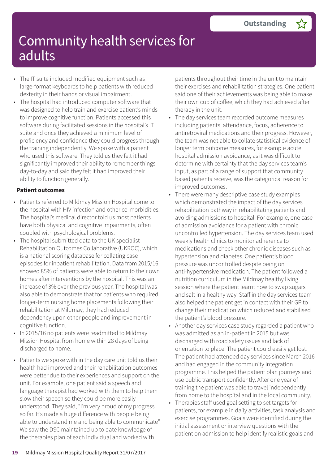- The IT suite included modified equipment such as large-format keyboards to help patients with reduced dexterity in their hands or visual impairment.
- The hospital had introduced computer software that was designed to help train and exercise patient's minds to improve cognitive function. Patients accessed this software during facilitated sessions in the hospital's IT suite and once they achieved a minimum level of proficiency and confidence they could progress through the training independently. We spoke with a patient who used this software. They told us they felt it had significantly improved their ability to remember things day-to-day and said they felt it had improved their ability to function generally.

#### **Patient outcomes**

- Patients referred to Mildmay Mission Hospital come to the hospital with HIV infection and other co-morbidities. The hospital's medical director told us most patients have both physical and cognitive impairments, often coupled with psychological problems.
- The hospital submitted data to the UK specialist Rehabilitation Outcomes Collaborative (UKROC), which is a national scoring database for collating case episodes for inpatient rehabilitation. Data from 2015/16 showed 85% of patients were able to return to their own homes after interventions by the hospital. This was an increase of 3% over the previous year. The hospital was also able to demonstrate that for patients who required longer-term nursing home placements following their rehabilitation at Mildmay, they had reduced dependency upon other people and improvement in cognitive function.
- In 2015/16 no patients were readmitted to Mildmay Mission Hospital from home within 28 days of being discharged to home.
- Patients we spoke with in the day care unit told us their health had improved and their rehabilitation outcomes were better due to their experiences and support on the unit. For example, one patient said a speech and language therapist had worked with them to help them slow their speech so they could be more easily understood. They said, "I'm very proud of my progress so far. It's made a huge difference with people being able to understand me and being able to communicate". We saw the DSC maintained up to date knowledge of the therapies plan of each individual and worked with

patients throughout their time in the unit to maintain their exercises and rehabilitation strategies. One patient said one of their achievements was being able to make their own cup of coffee, which they had achieved after therapy in the unit.

- The day services team recorded outcome measures including patients' attendance, focus, adherence to antiretroviral medications and their progress. However, the team was not able to collate statistical evidence of longer term outcome measures, for example acute hospital admission avoidance, as it was difficult to determine with certainty that the day services team's input, as part of a range of support that community based patients receive, was the categorical reason for improved outcomes.
- There were many descriptive case study examples which demonstrated the impact of the day services rehabilitation pathway in rehabilitating patients and avoiding admissions to hospital. For example, one case of admission avoidance for a patient with chronic uncontrolled hypertension. The day services team used weekly health clinics to monitor adherence to medications and check other chronic diseases such as hypertension and diabetes. One patient's blood pressure was uncontrolled despite being on anti-hypertensive medication. The patient followed a nutrition curriculum in the Mildmay healthy living session where the patient learnt how to swap sugars and salt in a healthy way. Staff in the day services team also helped the patient get in contact with their GP to change their medication which reduced and stabilised the patient's blood pressure.
- Another day services case study regarded a patient who was admitted as an in-patient in 2015 but was discharged with road safety issues and lack of orientation to place. The patient could easily get lost. The patient had attended day services since March 2016 and had engaged in the community integration programme. This helped the patient plan journeys and use public transport confidently. After one year of training the patient was able to travel independently from home to the hospital and in the local community.
- Therapies staff used goal setting to set targets for patients, for example in daily activities, task analysis and exercise programmes. Goals were identified during the initial assessment or interview questions with the patient on admission to help identify realistic goals and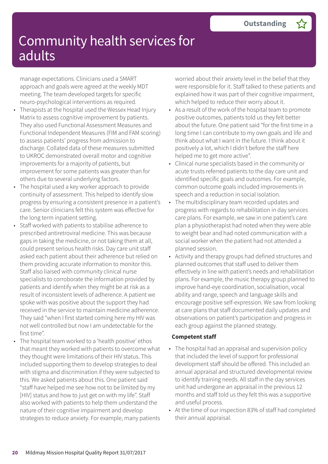manage expectations. Clinicians used a SMART approach and goals were agreed at the weekly MDT meeting. The team developed targets for specific neuro-psychological interventions as required.

- Therapists at the hospital used the Wessex Head Injury Matrix to assess cognitive improvement by patients. They also used Functional Assessment Measures and Functional Independent Measures (FIM and FAM scoring) to assess patients' progress from admission to discharge. Collated data of these measures submitted to UKROC demonstrated overall motor and cognitive improvements for a majority of patients, but improvement for some patients was greater than for others due to several underlying factors.
- The hospital used a key worker approach to provide continuity of assessment. This helped to identify slow progress by ensuring a consistent presence in a patient's care. Senior clinicians felt this system was effective for the long term inpatient setting.
- Staff worked with patients to stabilise adherence to prescribed antiretroviral medicine. This was because gaps in taking the medicine, or not taking them at all, could present serious health risks. Day care unit staff asked each patient about their adherence but relied on them providing accurate information to monitor this. Staff also liaised with community clinical nurse specialists to corroborate the information provided by patients and identify when they might be at risk as a result of inconsistent levels of adherence. A patient we spoke with was positive about the support they had received in the service to maintain medicine adherence. They said "when I first started coming here my HIV was not well controlled but now I am undetectable for the first time".
	- The hospital team worked to a 'health positive' ethos that meant they worked with patients to overcome what they thought were limitations of their HIV status. This included supporting them to develop strategies to deal with stigma and discrimination if they were subjected to this. We asked patients about this. One patient said "staff have helped me see how not to be limited by my [HIV] status and how to just get on with my life". Staff also worked with patients to help them understand the nature of their cognitive impairment and develop strategies to reduce anxiety. For example, many patients

worried about their anxiety level in the belief that they were responsible for it. Staff talked to these patients and explained how it was part of their cognitive impairment, which helped to reduce their worry about it.

- As a result of the work of the hospital team to promote positive outcomes, patients told us they felt better about the future. One patient said "for the first time in a long time I can contribute to my own goals and life and think about what I want in the future. I think about it positively a lot, which I didn't before the staff here helped me to get more active".
- Clinical nurse specialists based in the community or acute trusts referred patients to the day care unit and identified specific goals and outcomes. For example, common outcome goals included improvements in speech and a reduction in social isolation.
- The multidisciplinary team recorded updates and progress with regards to rehabilitation in day services care plans. For example, we saw in one patient's care plan a physiotherapist had noted when they were able to weight bear and had noted communication with a social worker when the patient had not attended a planned session.
- Activity and therapy groups had defined structures and planned outcomes that staff used to deliver them effectively in line with patient's needs and rehabilitation plans. For example, the music therapy group planned to improve hand-eye coordination, socialisation, vocal ability and range, speech and language skills and encourage positive self-expression. We saw from looking at care plans that staff documented daily updates and observations on patient's participation and progress in each group against the planned strategy.

#### **Competent staff**

- The hospital had an appraisal and supervision policy that included the level of support for professional development staff should be offered. This included an annual appraisal and structured developmental review to identify training needs. All staff in the day services unit had undergone an appraisal in the previous 12 months and staff told us they felt this was a supportive and useful process.
- At the time of our inspection 83% of staff had completed their annual appraisal.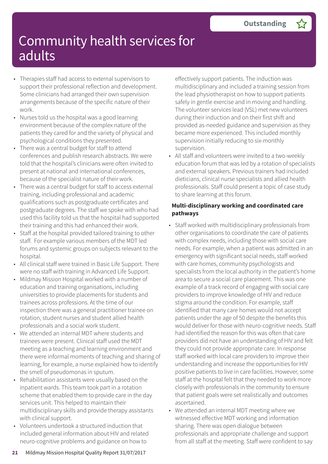- Therapies staff had access to external supervisors to support their professional reflection and development. Some clinicians had arranged their own supervision arrangements because of the specific nature of their work.
- Nurses told us the hospital was a good learning environment because of the complex nature of the patients they cared for and the variety of physical and psychological conditions they presented.
- There was a central budget for staff to attend conferences and publish research abstracts. We were told that the hospital's clinicians were often invited to present at national and international conferences, because of the specialist nature of their work.
- There was a central budget for staff to access external training, including professional and academic qualifications such as postgraduate certificates and postgraduate degrees. The staff we spoke with who had used this facility told us that the hospital had supported their training and this had enhanced their work.
- Staff at the hospital provided tailored training to other staff. For example various members of the MDT led forums and systemic groups on subjects relevant to the hospital.
- All clinical staff were trained in Basic Life Support. There were no staff with training in Advanced Life Support.
- Mildmay Mission Hospital worked with a number of education and training organisations, including universities to provide placements for students and trainees across professions. At the time of our inspection there was a general practitioner trainee on rotation, student nurses and student allied health professionals and a social work student.
- We attended an internal MDT where students and trainees were present. Clinical staff used the MDT meeting as a teaching and learning environment and there were informal moments of teaching and sharing of learning, for example, a nurse explained how to identify the smell of pseudomonas in sputum.
- Rehabilitation assistants were usually based on the inpatient wards. This team took part in a rotation scheme that enabled them to provide care in the day services unit. This helped to maintain their multidisciplinary skills and provide therapy assistants with clinical support.
- Volunteers undertook a structured induction that included general information about HIV and related neuro-cognitive problems and guidance on how to

effectively support patients. The induction was multidisciplinary and included a training session from the lead physiotherapist on how to support patients safely in gentle exercise and in moving and handling. The volunteer services lead (VSL) met new volunteers during their induction and on their first shift and provided as-needed guidance and supervision as they became more experienced. This included monthly supervision initially reducing to six-monthly supervision.

• All staff and volunteers were invited to a two-weekly education forum that was led by a rotation of specialists and external speakers. Previous trainers had included dieticians, clinical nurse specialists and allied health professionals. Staff could present a topic of case study to share learning at this forum.

#### **Multi-disciplinary working and coordinated care pathways**

- Staff worked with multidisciplinary professionals from other organisations to coordinate the care of patients with complex needs, including those with social care needs. For example, when a patient was admitted in an emergency with significant social needs, staff worked with care homes, community psychologists and specialists from the local authority in the patient's home area to secure a social care placement. This was one example of a track record of engaging with social care providers to improve knowledge of HIV and reduce stigma around the condition. For example, staff identified that many care homes would not accept patients under the age of 50 despite the benefits this would deliver for those with neuro-cognitive needs. Staff had identified the reason for this was often that care providers did not have an understanding of HIV and felt they could not provide appropriate care. In response staff worked with local care providers to improve their understanding and increase the opportunities for HIV positive patients to live in care facilities. However, some staff at the hospital felt that they needed to work more closely with professionals in the community to ensure that patient goals were set realistically and outcomes ascertained.
- We attended an internal MDT meeting where we witnessed effective MDT working and information sharing. There was open dialogue between professionals and appropriate challenge and support from all staff at the meeting. Staff were confident to say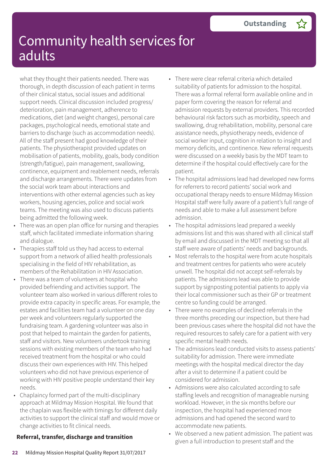what they thought their patients needed. There was thorough, in depth discussion of each patient in terms of their clinical status, social issues and additional support needs. Clinical discussion included progress/ deterioration, pain management, adherence to medications, diet (and weight changes), personal care packages, psychological needs, emotional state and barriers to discharge (such as accommodation needs). All of the staff present had good knowledge of their patients. The physiotherapist provided updates on mobilisation of patients, mobility, goals, body condition (strength/fatigue), pain management, swallowing, continence, equipment and reablement needs, referrals and discharge arrangements. There were updates from the social work team about interactions and interventions with other external agencies such as key workers, housing agencies, police and social work teams. The meeting was also used to discuss patients being admitted the following week.

- There was an open plan office for nursing and therapies staff, which facilitated immediate information sharing and dialogue.
- Therapies staff told us they had access to external support from a network of allied health professionals specialising in the field of HIV rehabilitation, as members of the Rehabilitation in HIV Association.
- There was a team of volunteers at hospital who provided befriending and activities support. The volunteer team also worked in various different roles to provide extra capacity in specific areas. For example, the estates and facilities team had a volunteer on one day per week and volunteers regularly supported the fundraising team. A gardening volunteer was also in post that helped to maintain the garden for patients, staff and visitors. New volunteers undertook training sessions with existing members of the team who had received treatment from the hospital or who could discuss their own experiences with HIV. This helped volunteers who did not have previous experience of working with HIV positive people understand their key needs.
- Chaplaincy formed part of the multi-disciplinary approach at Mildmay Mission Hospital. We found that the chaplain was flexible with timings for different daily activities to support the clinical staff and would move or change activities to fit clinical needs.

### **Referral, transfer, discharge and transition**

- There were clear referral criteria which detailed suitability of patients for admission to the hospital. There was a formal referral form available online and in paper form covering the reason for referral and admission requests by external providers. This recorded behavioural risk factors such as morbidity, speech and swallowing, drug rehabilitation, mobility, personal care assistance needs, physiotherapy needs, evidence of social worker input, cognition in relation to insight and memory deficits, and continence. New referral requests were discussed on a weekly basis by the MDT team to determine if the hospital could effectively care for the patient.
- The hospital admissions lead had developed new forms for referrers to record patients' social work and occupational therapy needs to ensure Mildmay Mission Hospital staff were fully aware of a patient's full range of needs and able to make a full assessment before admission.
- The hospital admissions lead prepared a weekly admissions list and this was shared with all clinical staff by email and discussed in the MDT meeting so that all staff were aware of patients' needs and backgrounds.
- Most referrals to the hospital were from acute hospitals and treatment centres for patients who were acutely unwell. The hospital did not accept self-referrals by patients. The admissions lead was able to provide support by signposting potential patients to apply via their local commissioner such as their GP or treatment centre so funding could be arranged.
- There were no examples of declined referrals in the three months preceding our inspection, but there had been previous cases where the hospital did not have the required resources to safely care for a patient with very specific mental health needs.
- The admissions lead conducted visits to assess patients' suitability for admission. There were immediate meetings with the hospital medical director the day after a visit to determine if a patient could be considered for admission.
- Admissions were also calculated according to safe staffing levels and recognition of manageable nursing workload. However, in the six months before our inspection, the hospital had experienced more admissions and had opened the second ward to accommodate new patients.
- We observed a new patient admission. The patient was given a full introduction to present staff and the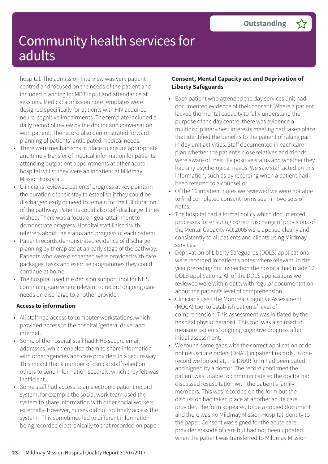hospital. The admission interview was very patient centred and focused on the needs of the patient and included planning for MDT input and attendance at sessions. Medical admission note templates were designed specifically for patients with HIV acquired neuro-cognitive impairments. The template included a daily record of review by the doctor and conversation with patient. The record also demonstrated forward planning of patients' anticipated medical needs.

- There were mechanisms in place to ensure appropriate and timely transfer of medical information for patients attending outpatient appointments at other acute hospital whilst they were an inpatient at Mildmay Mission Hospital.
- Clinicians reviewed patients' progress at key points in the duration of their stay to establish if they could be discharged early or need to remain for the full duration of the pathway. Patients could also self-discharge if they wished. There was a focus on goal attainment to demonstrate progress. Hospital staff liaised with referrers about the status and progress of each patient.
- Patient records demonstrated evidence of discharge planning by therapists at an early stage of the pathway. Patients who were discharged were provided with care packages, tasks and exercise programmes they could continue at home.
- The hospital used the decision support tool for NHS continuing care where relevant to record ongoing care needs on discharge to another provider.

### **Access to information**

- All staff had access to computer workstations, which provided access to the hospital 'general drive' and internet.
- Some of the hospital staff had NHS secure email addresses, which enabled them to share information with other agencies and care providers in a secure way. This meant that a number of clinical staff relied on others to send information securely, which they felt was inefficient.
- Some staff had access to an electronic patient record system, for example the social work team used the system to share information with other social workers externally. However, nurses did not routinely access the system. This sometimes led to different information being recorded electronically to that recorded on paper.

#### **Consent, Mental Capacity act and Deprivation of Liberty Safeguards**

- Each patient who attended the day services unit had documented evidence of their consent. Where a patient lacked the mental capacity to fully understand the purpose of the day centre, there was evidence a multidisciplinary best interests meeting had taken place that identified the benefits to the patient of taking part in day unit activities. Staff documented in each care plan whether the patient's close relatives and friends were aware of their HIV positive status and whether they had any psychological needs. We saw staff acted on this information, such as by recording when a patient had been referred to a counsellor.
- Of the 16 inpatient notes we reviewed we were not able to find completed consent forms seen in two sets of notes.
- The hospital had a formal policy which documented processes for ensuring correct discharge of provisions of the Mental Capacity Act 2005 were applied clearly and consistently to all patients and clients using Mildmay services.
- Deprivation of Liberty Safeguards (DOLS) applications were recorded in patient's notes where relevant. In the year preceding our inspection the hospital had made 12 DOLS applications. All of the DOLS applications we reviewed were within date, with regular documentation about the patient's level of comprehension.
- Clinicians used the Montreal Cognitive Assessment (MOCA) tool to establish patients' level of comprehension. This assessment was initiated by the hospital physiotherapist. This tool was also used to measure patients' ongoing cognitive progress after initial assessment.
- We found some gaps with the correct application of do not resuscitate orders (DNAR) in patient records. In one record we looked at, the DNAR form had been dated and signed by a doctor. The record confirmed the patient was unable to communicate so the doctor had discussed resuscitation with the patient's family members. This was recorded on the form but the discussion had taken place at another acute care provider. The form appeared to be a copied document and there was no Mildmay Mission Hospital identity to the paper. Consent was signed for the acute care provider episode of care but had not been updated when the patient was transferred to Mildmay Mission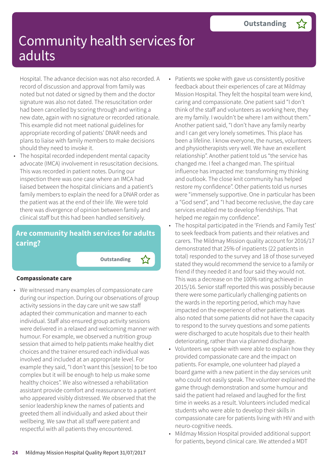Hospital. The advance decision was not also recorded. A record of discussion and approval from family was noted but not dated or signed by them and the doctor signature was also not dated. The resuscitation order had been cancelled by scoring through and writing a new date, again with no signature or recorded rationale. This example did not meet national guidelines for appropriate recording of patients' DNAR needs and plans to liaise with family members to make decisions should they need to invoke it.

• The hospital recorded independent mental capacity advocate (IMCA) involvement in resuscitation decisions. This was recorded in patient notes. During our inspection there was one case where an IMCA had liaised between the hospital clinicians and a patient's family members to explain the need for a DNAR order as the patient was at the end of their life. We were told there was divergence of opinion between family and clinical staff but this had been handled sensitively.

### **Are community health services for adults caring?**

**Outstanding –**

#### **Compassionate care**

• We witnessed many examples of compassionate care during our inspection. During our observations of group activity sessions in the day care unit we saw staff adapted their communication and manner to each individual. Staff also ensured group activity sessions were delivered in a relaxed and welcoming manner with humour. For example, we observed a nutrition group session that aimed to help patients make healthy diet choices and the trainer ensured each individual was involved and included at an appropriate level. For example they said, "I don't want this [session] to be too complex but it will be enough to help us make some healthy choices". We also witnessed a rehabilitation assistant provide comfort and reassurance to a patient who appeared visibly distressed. We observed that the senior leadership knew the names of patients and greeted them all individually and asked about their wellbeing. We saw that all staff were patient and respectful with all patients they encountered.

- Patients we spoke with gave us consistently positive feedback about their experiences of care at Mildmay Mission Hospital. They felt the hospital team were kind, caring and compassionate. One patient said "I don't think of the staff and volunteers as working here, they are my family. I wouldn't be where I am without them." Another patient said, "I don't have any family nearby and I can get very lonely sometimes. This place has been a lifeline. I know everyone, the nurses, volunteers and physiotherapists very well. We have an excellent relationship". Another patient told us "the service has changed me. I feel a changed man. The spiritual influence has impacted me: transforming my thinking and outlook. The close knit community has helped restore my confidence". Other patients told us nurses were "immensely supportive. One in particular has been a "God send", and "I had become reclusive, the day care services enabled me to develop friendships. That helped me regain my confidence".
- The hospital participated in the 'Friends and Family Test' to seek feedback from patients and their relatives and carers. The Mildmay Mission quality account for 2016/17 demonstrated that 25% of inpatients (22 patients in total) responded to the survey and 18 of those surveyed stated they would recommend the service to a family or friend if they needed it and four said they would not. This was a decrease on the 100% rating achieved in 2015/16. Senior staff reported this was possibly because there were some particularly challenging patients on the wards in the reporting period, which may have impacted on the experience of other patients. It was also noted that some patients did not have the capacity to respond to the survey questions and some patients were discharged to acute hospitals due to their health deteriorating, rather than via planned discharge.
- Volunteers we spoke with were able to explain how they provided compassionate care and the impact on patients. For example, one volunteer had played a board game with a new patient in the day services unit who could not easily speak. The volunteer explained the game through demonstration and some humour and said the patient had relaxed and laughed for the first time in weeks as a result. Volunteers included medical students who were able to develop their skills in compassionate care for patients living with HIV and with neuro-cognitive needs.
- Mildmay Mission Hospital provided additional support for patients, beyond clinical care. We attended a MDT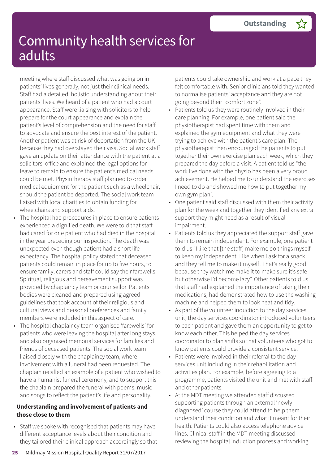meeting where staff discussed what was going on in patients' lives generally, not just their clinical needs. Staff had a detailed, holistic understanding about their patients' lives. We heard of a patient who had a court appearance. Staff were liaising with solicitors to help prepare for the court appearance and explain the patient's level of comprehension and the need for staff to advocate and ensure the best interest of the patient. Another patient was at risk of deportation from the UK because they had overstayed their visa. Social work staff gave an update on their attendance with the patient at a solicitors' office and explained the legal options for leave to remain to ensure the patient's medical needs could be met. Physiotherapy staff planned to order medical equipment for the patient such as a wheelchair, should the patient be deported. The social work team liaised with local charities to obtain funding for wheelchairs and support aids.

- The hospital had procedures in place to ensure patients experienced a dignified death. We were told that staff had cared for one patient who had died in the hospital in the year preceding our inspection. The death was unexpected even though patient had a short life expectancy. The hospital policy stated that deceased patients could remain in place for up to five hours, to ensure family, carers and staff could say their farewells. Spiritual, religious and bereavement support was provided by chaplaincy team or counsellor. Patients bodies were cleaned and prepared using agreed guidelines that took account of their religious and cultural views and personal preferences and family members were included in this aspect of care.
- The hospital chaplaincy team organised 'farewells' for patients who were leaving the hospital after long stays, and also organised memorial services for families and friends of deceased patients. The social work team liaised closely with the chaplaincy team, where involvement with a funeral had been requested. The chaplain recalled an example of a patient who wished to have a humanist funeral ceremony, and to support this the chaplain prepared the funeral with poems, music and songs to reflect the patient's life and personality.

#### **Understanding and involvement of patients and those close to them**

• Staff we spoke with recognised that patients may have different acceptance levels about their condition and they tailored their clinical approach accordingly so that patients could take ownership and work at a pace they felt comfortable with. Senior clinicians told they wanted to normalise patients' acceptance and they are not going beyond their "comfort zone".

- Patients told us they were routinely involved in their care planning. For example, one patient said the physiotherapist had spent time with them and explained the gym equipment and what they were trying to achieve with the patient's care plan. The physiotherapist then encouraged the patients to put together their own exercise plan each week, which they prepared the day before a visit. A patient told us "the work I've done with the physio has been a very proud achievement. He helped me to understand the exercises I need to do and showed me how to put together my own gym plan".
- One patient said staff discussed with them their activity plan for the week and together they identified any extra support they might need as a result of visual impairment.
- Patients told us they appreciated the support staff gave them to remain independent. For example, one patient told us "I like that [the staff] make me do things myself to keep my independent. Like when I ask for a snack and they tell me to make it myself! That's really good because they watch me make it to make sure it's safe but otherwise I'd become lazy". Other patients told us that staff had explained the importance of taking their medications, had demonstrated how to use the washing machine and helped them to look neat and tidy.
- As part of the volunteer induction to the day services unit, the day services coordinator introduced volunteers to each patient and gave them an opportunity to get to know each other. This helped the day services coordinator to plan shifts so that volunteers who got to know patients could provide a consistent service.
- Patients were involved in their referral to the day services unit including in their rehabilitation and activities plan. For example, before agreeing to a programme, patients visited the unit and met with staff and other patients.
- At the MDT meeting we attended staff discussed supporting patients through an external 'newly diagnosed' course they could attend to help them understand their condition and what it meant for their health. Patients could also access telephone advice lines. Clinical staff in the MDT meeting discussed reviewing the hospital induction process and working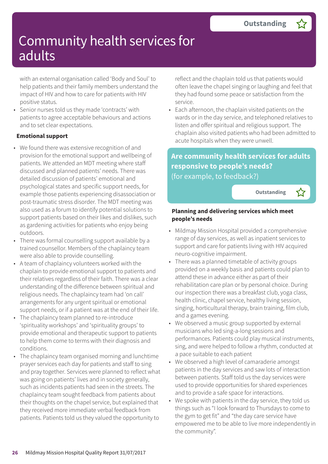with an external organisation called 'Body and Soul' to help patients and their family members understand the impact of HIV and how to care for patients with HIV positive status.

• Senior nurses told us they made 'contracts' with patients to agree acceptable behaviours and actions and to set clear expectations.

#### **Emotional support**

- We found there was extensive recognition of and provision for the emotional support and wellbeing of patients. We attended an MDT meeting where staff discussed and planned patients' needs. There was detailed discussion of patients' emotional and psychological states and specific support needs, for example those patients experiencing disassociation or post-traumatic stress disorder. The MDT meeting was also used as a forum to identify potential solutions to support patients based on their likes and dislikes, such as gardening activities for patients who enjoy being outdoors.
- There was formal counselling support available by a trained counsellor. Members of the chaplaincy team were also able to provide counselling.
- A team of chaplaincy volunteers worked with the chaplain to provide emotional support to patients and their relatives regardless of their faith. There was a clear understanding of the difference between spiritual and religious needs. The chaplaincy team had 'on call' arrangements for any urgent spiritual or emotional support needs, or if a patient was at the end of their life.
- The chaplaincy team planned to re-introduce 'spirituality workshops' and 'spirituality groups' to provide emotional and therapeutic support to patients to help them come to terms with their diagnosis and conditions.
- The chaplaincy team organised morning and lunchtime prayer services each day for patients and staff to sing and pray together. Services were planned to reflect what was going on patients' lives and in society generally, such as incidents patients had seen in the streets. The chaplaincy team sought feedback from patients about their thoughts on the chapel service, but explained that they received more immediate verbal feedback from patients. Patients told us they valued the opportunity to

reflect and the chaplain told us that patients would often leave the chapel singing or laughing and feel that they had found some peace or satisfaction from the service.

• Each afternoon, the chaplain visited patients on the wards or in the day service, and telephoned relatives to listen and offer spiritual and religious support. The chaplain also visited patients who had been admitted to acute hospitals when they were unwell.

### **Are community health services for adults responsive to people's needs?** (for example, to feedback?)

**Outstanding –**

#### **Planning and delivering services which meet people's needs**

- Mildmay Mission Hospital provided a comprehensive range of day services, as well as inpatient services to support and care for patients living with HIV acquired neuro-cognitive impairment.
- There was a planned timetable of activity groups provided on a weekly basis and patients could plan to attend these in advance either as part of their rehabilitation care plan or by personal choice. During our inspection there was a breakfast club, yoga class, health clinic, chapel service, healthy living session, singing, horticultural therapy, brain training, film club, and a games evening.
- We observed a music group supported by external musicians who led sing-a-long sessions and performances. Patients could play musical instruments, sing, and were helped to follow a rhythm, conducted at a pace suitable to each patient
- We observed a high level of camaraderie amongst patients in the day services and saw lots of interaction between patients. Staff told us the day services were used to provide opportunities for shared experiences and to provide a safe space for interactions.
- We spoke with patients in the day service, they told us things such as "I look forward to Thursdays to come to the gym to get fit" and "the day care service have empowered me to be able to live more independently in the community".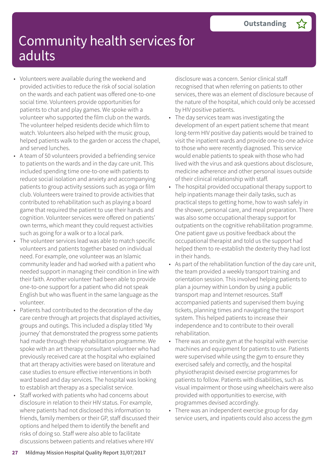- Volunteers were available during the weekend and provided activities to reduce the risk of social isolation on the wards and each patient was offered one-to-one social time. Volunteers provide opportunities for patients to chat and play games. We spoke with a volunteer who supported the film club on the wards. The volunteer helped residents decide which film to watch. Volunteers also helped with the music group, helped patients walk to the garden or access the chapel, and served lunches.
- A team of 50 volunteers provided a befriending service to patients on the wards and in the day care unit. This included spending time one-to-one with patients to reduce social isolation and anxiety and accompanying patients to group activity sessions such as yoga or film club. Volunteers were trained to provide activities that contributed to rehabilitation such as playing a board game that required the patient to use their hands and cognition. Volunteer services were offered on patients' own terms, which meant they could request activities such as going for a walk or to a local park.
- The volunteer services lead was able to match specific volunteers and patients together based on individual need. For example, one volunteer was an Islamic community leader and had worked with a patient who needed support in managing their condition in line with their faith. Another volunteer had been able to provide one-to-one support for a patient who did not speak English but who was fluent in the same language as the volunteer.
- Patients had contributed to the decoration of the day care centre through art projects that displayed activities, groups and outings. This included a display titled 'My journey' that demonstrated the progress some patients had made through their rehabilitation programme. We spoke with an art therapy consultant volunteer who had previously received care at the hospital who explained that art therapy activities were based on literature and case studies to ensure effective interventions in both ward based and day services. The hospital was looking to establish art therapy as a specialist service.
- Staff worked with patients who had concerns about disclosure in relation to their HIV status. For example, where patients had not disclosed this information to friends, family members or their GP, staff discussed their options and helped them to identify the benefit and risks of doing so. Staff were also able to facilitate discussions between patients and relatives where HIV

disclosure was a concern. Senior clinical staff recognised that when referring on patients to other services, there was an element of disclosure because of the nature of the hospital, which could only be accessed by HIV positive patients.

- The day services team was investigating the development of an expert patient scheme that meant long-term HIV positive day patients would be trained to visit the inpatient wards and provide one-to-one advice to those who were recently diagnosed. This service would enable patients to speak with those who had lived with the virus and ask questions about disclosure, medicine adherence and other personal issues outside of their clinical relationship with staff.
- The hospital provided occupational therapy support to help inpatients manage their daily tasks, such as practical steps to getting home, how to wash safely in the shower, personal care, and meal preparation. There was also some occupational therapy support for outpatients on the cognitive rehabilitation programme. One patient gave us positive feedback about the occupational therapist and told us the support had helped them to re-establish the dexterity they had lost in their hands.
- As part of the rehabilitation function of the day care unit, the team provided a weekly transport training and orientation session. This involved helping patients to plan a journey within London by using a public transport map and Internet resources. Staff accompanied patients and supervised them buying tickets, planning times and navigating the transport system. This helped patients to increase their independence and to contribute to their overall rehabilitation.
- There was an onsite gym at the hospital with exercise machines and equipment for patients to use. Patients were supervised while using the gym to ensure they exercised safely and correctly, and the hospital physiotherapist devised exercise programmes for patients to follow. Patients with disabilities, such as visual impairment or those using wheelchairs were also provided with opportunities to exercise, with programmes devised accordingly.
- There was an independent exercise group for day service users, and inpatients could also access the gym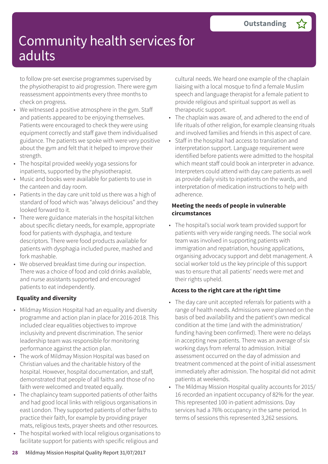to follow pre-set exercise programmes supervised by the physiotherapist to aid progression. There were gym reassessment appointments every three months to check on progress.

- We witnessed a positive atmosphere in the gym. Staff and patients appeared to be enjoying themselves. Patients were encouraged to check they were using equipment correctly and staff gave them individualised guidance. The patients we spoke with were very positive about the gym and felt that it helped to improve their strength.
- The hospital provided weekly yoga sessions for inpatients, supported by the physiotherapist.
- Music and books were available for patients to use in the canteen and day room.
- Patients in the day care unit told us there was a high of standard of food which was "always delicious" and they looked forward to it.
- There were guidance materials in the hospital kitchen about specific dietary needs, for example, appropriate food for patients with dysphagia, and texture descriptors. There were food products available for patients with dysphagia included puree, mashed and fork mashable.
- We observed breakfast time during our inspection. There was a choice of food and cold drinks available, and nurse assistants supported and encouraged patients to eat independently.

### **Equality and diversity**

- Mildmay Mission Hospital had an equality and diversity programme and action plan in place for 2016-2018. This included clear equalities objectives to improve inclusivity and prevent discrimination. The senior leadership team was responsible for monitoring performance against the action plan.
- The work of Mildmay Mission Hospital was based on Christian values and the charitable history of the hospital. However, hospital documentation, and staff, demonstrated that people of all faiths and those of no faith were welcomed and treated equally.
- The chaplaincy team supported patients of other faiths and had good local links with religious organisations in east London. They supported patients of other faiths to practice their faith, for example by providing prayer mats, religious texts, prayer sheets and other resources.
- The hospital worked with local religious organisations to facilitate support for patients with specific religious and

cultural needs. We heard one example of the chaplain liaising with a local mosque to find a female Muslim speech and language therapist for a female patient to provide religious and spiritual support as well as therapeutic support.

- The chaplain was aware of, and adhered to the end of life rituals of other religion, for example cleansing rituals and involved families and friends in this aspect of care.
- Staff in the hospital had access to translation and interpretation support. Language requirement were identified before patients were admitted to the hospital which meant staff could book an interpreter in advance. Interpreters could attend with day care patients as well as provide daily visits to inpatients on the wards, and interpretation of medication instructions to help with adherence.

#### **Meeting the needs of people in vulnerable circumstances**

• The hospital's social work team provided support for patients with very wide ranging needs. The social work team was involved in supporting patients with immigration and repatriation, housing applications, organising advocacy support and debt management. A social worker told us the key principle of this support was to ensure that all patients' needs were met and their rights upheld.

#### **Access to the right care at the right time**

- The day care unit accepted referrals for patients with a range of health needs. Admissions were planned on the basis of bed availability and the patient's own medical condition at the time (and with the administration/ funding having been confirmed). There were no delays in accepting new patients. There was an average of six working days from referral to admission. Initial assessment occurred on the day of admission and treatment commenced at the point of initial assessment immediately after admission. The hospital did not admit patients at weekends.
- The Mildmay Mission Hospital quality accounts for 2015/ 16 recorded an inpatient occupancy of 82% for the year. This represented 100 in-patient admissions. Day services had a 76% occupancy in the same period. In terms of sessions this represented 3,262 sessions.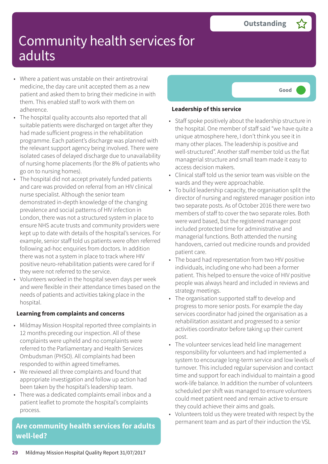- Where a patient was unstable on their antiretroviral medicine, the day care unit accepted them as a new patient and asked them to bring their medicine in with them. This enabled staff to work with them on adherence.
- The hospital quality accounts also reported that all suitable patients were discharged on target after they had made sufficient progress in the rehabilitation programme. Each patient's discharge was planned with the relevant support agency being involved. There were isolated cases of delayed discharge due to unavailability of nursing home placements (for the 8% of patients who go on to nursing homes).
- The hospital did not accept privately funded patients and care was provided on referral from an HIV clinical nurse specialist. Although the senior team demonstrated in-depth knowledge of the changing prevalence and social patterns of HIV infection in London, there was not a structured system in place to ensure NHS acute trusts and community providers were kept up to date with details of the hospital's services. For example, senior staff told us patients were often referred following ad-hoc enquiries from doctors. In addition there was not a system in place to track where HIV positive neuro-rehabilitation patients were cared for if they were not referred to the service.
- Volunteers worked in the hospital seven days per week and were flexible in their attendance times based on the needs of patients and activities taking place in the hospital.

#### **Learning from complaints and concerns**

- Mildmay Mission Hospital reported three complaints in 12 months preceding our inspection. All of these complaints were upheld and no complaints were referred to the Parliamentary and Health Services Ombudsman (PHSO). All complaints had been responded to within agreed timeframes.
- We reviewed all three complaints and found that appropriate investigation and follow up action had been taken by the hospital's leadership team.
- There was a dedicated complaints email inbox and a patient leaflet to promote the hospital's complaints process.

### **Are community health services for adults well-led?**



#### **Leadership of this service**

- Staff spoke positively about the leadership structure in the hospital. One member of staff said "we have quite a unique atmosphere here, I don't think you see it in many other places. The leadership is positive and well-structured". Another staff member told us the flat managerial structure and small team made it easy to access decision makers.
- Clinical staff told us the senior team was visible on the wards and they were approachable.
- To build leadership capacity, the organisation split the director of nursing and registered manager position into two separate posts. As of October 2016 there were two members of staff to cover the two separate roles. Both were ward based, but the registered manager post included protected time for administrative and managerial functions. Both attended the nursing handovers, carried out medicine rounds and provided patient care.
- The board had representation from two HIV positive individuals, including one who had been a former patient. This helped to ensure the voice of HIV positive people was always heard and included in reviews and strategy meetings.
- The organisation supported staff to develop and progress to more senior posts. For example the day services coordinator had joined the organisation as a rehabilitation assistant and progressed to a senior activities coordinator before taking up their current post.
- The volunteer services lead held line management responsibility for volunteers and had implemented a system to encourage long-term service and low levels of turnover. This included regular supervision and contact time and support for each individual to maintain a good work-life balance. In addition the number of volunteers scheduled per shift was managed to ensure volunteers could meet patient need and remain active to ensure they could achieve their aims and goals.
- Volunteers told us they were treated with respect by the permanent team and as part of their induction the VSL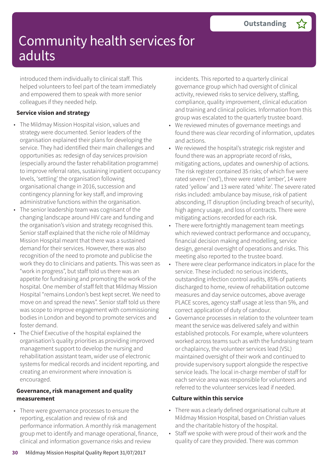introduced them individually to clinical staff. This helped volunteers to feel part of the team immediately and empowered them to speak with more senior colleagues if they needed help.

#### **Service vision and strategy**

- The Mildmay Mission Hospital vision, values and strategy were documented. Senior leaders of the organisation explained their plans for developing the service. They had identified their main challenges and opportunities as: redesign of day services provision (especially around the faster rehabilitation programme) to improve referral rates, sustaining inpatient occupancy levels, 'settling' the organisation following organisational change in 2016, succession and contingency planning for key staff, and improving administrative functions within the organisation.
- The senior leadership team was cognisant of the changing landscape around HIV care and funding and the organisation's vision and strategy recognised this. Senior staff explained that the niche role of Mildmay Mission Hospital meant that there was a sustained demand for their services. However, there was also recognition of the need to promote and publicise the work they do to clinicians and patients. This was seen as "work in progress", but staff told us there was an appetite for fundraising and promoting the work of the hospital. One member of staff felt that Mildmay Mission Hospital "remains London's best kept secret. We need to move on and spread the news". Senior staff told us there was scope to improve engagement with commissioning bodies in London and beyond to promote services and foster demand.
- The Chief Executive of the hospital explained the organisation's quality priorities as providing improved management support to develop the nursing and rehabilitation assistant team, wider use of electronic systems for medical records and incident reporting, and creating an environment where innovation is encouraged.

#### **Governance, risk management and quality measurement**

• There were governance processes to ensure the reporting, escalation and review of risk and performance information. A monthly risk management group met to identify and manage operational, finance, clinical and information governance risks and review

incidents. This reported to a quarterly clinical governance group which had oversight of clinical activity, reviewed risks to service delivery, staffing, compliance, quality improvement, clinical education and training and clinical policies. Information from this group was escalated to the quarterly trustee board.

- We reviewed minutes of governance meetings and found there was clear recording of information, updates and actions.
- We reviewed the hospital's strategic risk register and found there was an appropriate record of risks, mitigating actions, updates and ownership of actions. The risk register contained 35 risks; of which five were rated severe ('red'), three were rated 'amber', 14 were rated 'yellow' and 13 were rated 'white'. The severe rated risks included: ambulance bay misuse, risk of patient absconding, IT disruption (including breach of security), high agency usage, and loss of contracts. There were mitigating actions recorded for each risk.
- There were fortnightly management team meetings which reviewed contract performance and occupancy, financial decision making and modelling, service design, general oversight of operations and risks. This meeting also reported to the trustee board.
- There were clear performance indicators in place for the service. These included: no serious incidents, outstanding infection control audits, 85% of patients discharged to home, review of rehabilitation outcome measures and day service outcomes, above average PLACE scores, agency staff usage at less than 5%, and correct application of duty of candour.
- Governance processes in relation to the volunteer team meant the service was delivered safely and within established protocols. For example, where volunteers worked across teams such as with the fundraising team or chaplaincy, the volunteer services lead (VSL) maintained oversight of their work and continued to provide supervisory support alongside the respective service leads. The local in-charge member of staff for each service area was responsible for volunteers and referred to the volunteer services lead if needed.

#### **Culture within this service**

- There was a clearly defined organisational culture at Mildmay Mission Hospital, based on Christian values and the charitable history of the hospital.
- Staff we spoke with were proud of their work and the quality of care they provided. There was common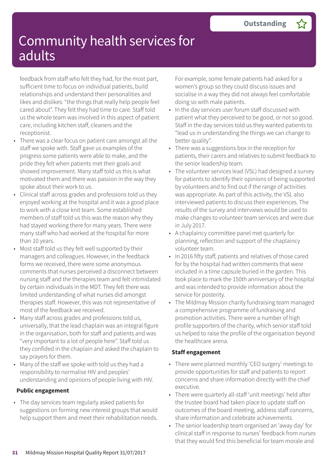feedback from staff who felt they had, for the most part, sufficient time to focus on individual patients, build relationships and understand their personalities and likes and dislikes: "the things that really help people feel cared about". They felt they had time to care. Staff told us the whole team was involved in this aspect of patient care, including kitchen staff, cleaners and the receptionist.

- There was a clear focus on patient care amongst all the staff we spoke with. Staff gave us examples of the progress some patients were able to make, and the pride they felt when patients met their goals and showed improvement. Many staff told us this is what motivated them and there was passion in the way they spoke about their work to us.
- Clinical staff across grades and professions told us they enjoyed working at the hospital and it was a good place to work with a close knit team. Some established members of staff told us this was the reason why they had stayed working there for many years. There were many staff who had worked at the hospital for more than 10 years.
- Most staff told us they felt well supported by their managers and colleagues. However, in the feedback forms we received, there were some anonymous comments that nurses perceived a disconnect between nursing staff and the therapies team and felt intimidated by certain individuals in the MDT. They felt there was limited understanding of what nurses did amongst therapies staff. However, this was not representative of most of the feedback we received.
- Many staff across grades and professions told us, universally, that the lead chaplain was an integral figure in the organisation, both for staff and patients and was "very important to a lot of people here". Staff told us they confided in the chaplain and asked the chaplain to say prayers for them.
- Many of the staff we spoke with told us they had a responsibility to normalise HIV and peoples' understanding and opinions of people living with HIV.

### **Public engagement**

• The day services team regularly asked patients for suggestions on forming new interest groups that would help support them and meet their rehabilitation needs. For example, some female patients had asked for a women's group so they could discuss issues and socialise in a way they did not always feel comfortable doing so with male patients.

- In the day services user forum staff discussed with patient what they perceived to be good, or not so good. Staff in the day services told us they wanted patients to "lead us in understanding the things we can change to better quality".
- There was a suggestions box in the reception for patients, their carers and relatives to submit feedback to the senior leadership team.
- The volunteer services lead (VSL) had designed a survey for patients to identify their opinions of being supported by volunteers and to find out if the range of activities was appropriate. As part of this activity, the VSL also interviewed patients to discuss their experiences. The results of the survey and interviews would be used to make changes to volunteer team services and were due in July 2017.
- A chaplaincy committee panel met quarterly for planning, reflection and support of the chaplaincy volunteer team.
- In 2016 fifty staff, patients and relatives of those cared for by the hospital had written comments that were included in a time capsule buried in the garden. This took place to mark the 150th anniversary of the hospital and was intended to provide information about the service for posterity.
- The Mildmay Mission charity fundraising team managed a comprehensive programme of fundraising and promotion activities. There were a number of high profile supporters of the charity, which senior staff told us helped to raise the profile of the organisation beyond the healthcare arena.

### **Staff engagement**

- There were planned monthly 'CEO surgery' meetings to provide opportunities for staff and patients to report concerns and share information directly with the chief executive.
- There were quarterly all-staff 'unit meetings' held after the trustee board had taken place to update staff on outcomes of the board meeting, address staff concerns, share information and celebrate achievements.
- The senior leadership team organised an 'away day' for clinical staff in response to nurses' feedback from nurses that they would find this beneficial for team morale and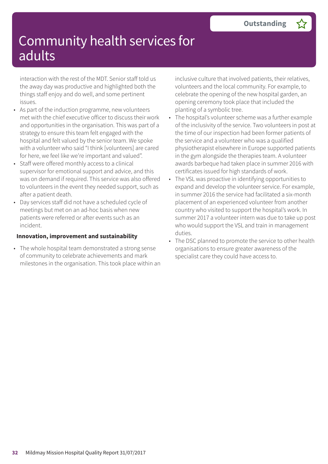interaction with the rest of the MDT. Senior staff told us the away day was productive and highlighted both the things staff enjoy and do well, and some pertinent issues.

- As part of the induction programme, new volunteers met with the chief executive officer to discuss their work and opportunities in the organisation. This was part of a strategy to ensure this team felt engaged with the hospital and felt valued by the senior team. We spoke with a volunteer who said "I think [volunteers] are cared for here, we feel like we're important and valued".
- Staff were offered monthly access to a clinical supervisor for emotional support and advice, and this was on demand if required. This service was also offered to volunteers in the event they needed support, such as after a patient death.
- Day services staff did not have a scheduled cycle of meetings but met on an ad-hoc basis when new patients were referred or after events such as an incident.

#### **Innovation, improvement and sustainability**

• The whole hospital team demonstrated a strong sense of community to celebrate achievements and mark milestones in the organisation. This took place within an inclusive culture that involved patients, their relatives, volunteers and the local community. For example, to celebrate the opening of the new hospital garden, an opening ceremony took place that included the planting of a symbolic tree.

- The hospital's volunteer scheme was a further example of the inclusivity of the service. Two volunteers in post at the time of our inspection had been former patients of the service and a volunteer who was a qualified physiotherapist elsewhere in Europe supported patients in the gym alongside the therapies team. A volunteer awards barbeque had taken place in summer 2016 with certificates issued for high standards of work.
- The VSL was proactive in identifying opportunities to expand and develop the volunteer service. For example, in summer 2016 the service had facilitated a six-month placement of an experienced volunteer from another country who visited to support the hospital's work. In summer 2017 a volunteer intern was due to take up post who would support the VSL and train in management duties.
- The DSC planned to promote the service to other health organisations to ensure greater awareness of the specialist care they could have access to.